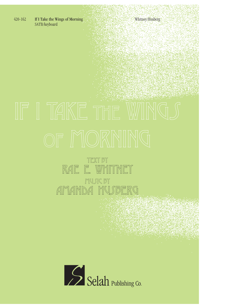420-162 If I Take the Wings of Morning Whitney/Husberg Whitney/Husberg SATB/keyboard

## TEXT BY RAE E. WH Music by A HUSB

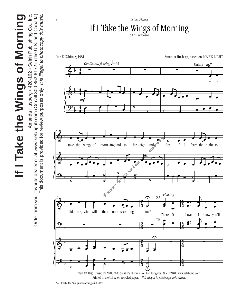

<sup>2–</sup>If I Take the Wings of Morning–420-162

## Amanda Husberg • 420-162 • Selah Publishing Co., Inc. **If I Take the Wings of Morning** If I Take the Wings of Morning

Amanda Husberg • 420-162 • Selah Publishing Co., Inc.

Order from your favorite dealer or at www.selahpub.com (Or call 800-852-6172 in the U.S. and Canada) This document is provided for review purposes only. It is illegal to photocopy this music. This document is provided for review purposes only. It is illegal to photocopy this music. Order from your favorite dealer or at www.selahpub.com (Or call 800-852-6172 in the U.S. and Canada)

2

*To Rae Whitney*

If I Take the Wings of Morning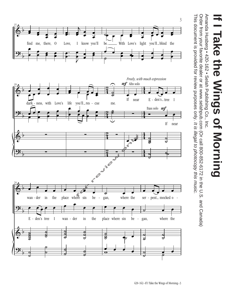

Amanda Husberg • 420-162 • Selah Publishing Co., Inc. Amanda Husberg • 420-162 • Selah Publishing Co., Inc.

Order from your favorite dealer or at www.selahpub.com (Or call 800-852-6172 in the U.S. and Canada) This document is provided for review purposes only. It is illegal to photocopy this music. This document is provided for review purposes only. Order from your favorite dealer or at www.selahpub.com (Or call 800-852-6172 in the U.S. and Canada) It is illegal to photocopy this music.



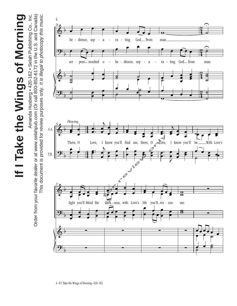If I Take the Wings of Morning **If I Take the Wings of Morning**

Amanda Husberg • 420-162 • Selah Publishing Co., Inc. Order from your favorite dealer or at www.selahpub.com (Or call 800-852-6172 in the U.S. and Canada) This document is provided for review purposes only. It is illegal to photocopy this music. This document is provided for review purposes only. It is illegal to photocopy this music. Amanda Husberg • 420-162 • Selah Publishing Co., Inc. Order from your favorite dealer or at www.selahpub.com (Or call 800-852-6172 in the U.S. and Canada)

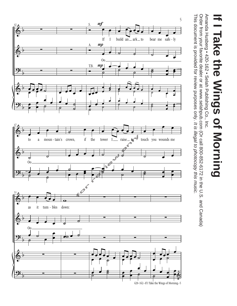# **If I Take the Wings of Morning** Fake the Wings of Morning

Amanda Husberg • 420-162 • Selah Publishing Co., Inc. Amanda Husberg • 420-162 • Selah Publishing Co., Inc.

Order from your favorite dealer or at www.selahpub.com (Or call 800-852-6172 in the U.S. and Canada) This document is provided for review purposes only. It is illegal to photocopy this music. This document is provided for review purposes only. Order from your favorite dealer or at www.selahpub.com (Or call 800-852-6172 in the U.S. and Canada) It is illegal to photocopy this music.

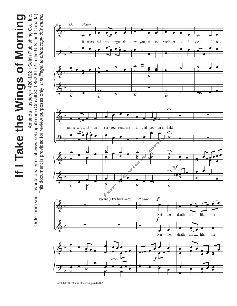# If I Take the Wings of Morning **If I Take the Wings of Morning**

Amanda Husberg • 420-162 • Selah Publishing Co., Inc. Order from your favorite dealer or at www.selahpub.com (Or call 800-852-6172 in the U.S. and Canada) This document is provided for review purposes only. It is illegal to photocopy this music. This document is provided for review purposes only. It is illegal to photocopy this music. Amanda Husberg • 420-162 • Selah Publishing Co., Inc. Order from your favorite dealer or at www.selahpub.com (Or call 800-852-6172 in the U.S. and Canada)



<sup>6–</sup>If I Take the Wings of Morning–420-162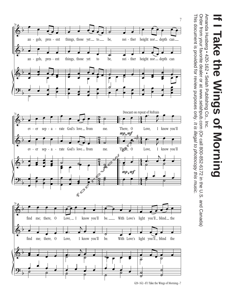

Amanda Husberg • 420-162 • Selah Publishing Co., Inc. Amanda Husberg • 420-162 • Selah Publishing Co., Inc.

Order from your favorite dealer or at www.selahpub.com (Or call 800-852-6172 in the U.S. and Canada) This document is provided for review purposes only. It is illegal to photocopy this music. This document is provided for review purposes only. Order from your favorite dealer or at www.selahpub.com (Or call 800-852-6172 in the U.S. and Canada) It is illegal to photocopy this music.